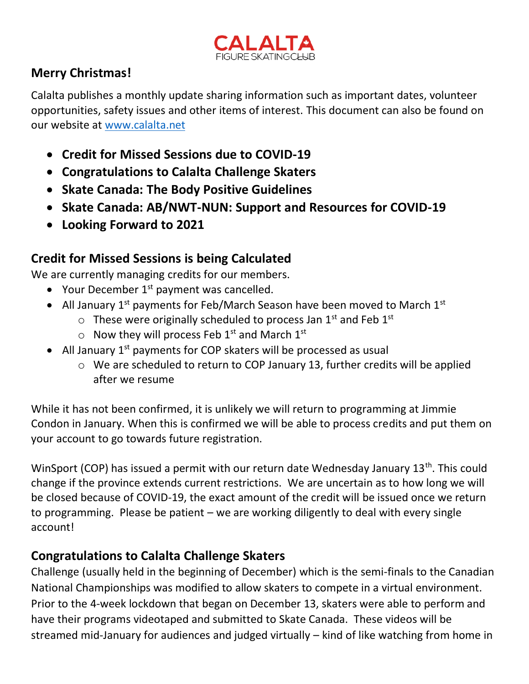

### **Merry Christmas!**

Calalta publishes a monthly update sharing information such as important dates, volunteer opportunities, safety issues and other items of interest. This document can also be found on our website at [www.calalta.net](http://www.calalta.net/)

- **Credit for Missed Sessions due to COVID-19**
- **Congratulations to Calalta Challenge Skaters**
- **Skate Canada: The Body Positive Guidelines**
- **Skate Canada: AB/NWT-NUN: Support and Resources for COVID-19**
- **Looking Forward to 2021**

### **Credit for Missed Sessions is being Calculated**

We are currently managing credits for our members.

- Your December  $1^{st}$  payment was cancelled.
- All January  $1^{st}$  payments for Feb/March Season have been moved to March  $1^{st}$ 
	- $\circ$  These were originally scheduled to process Jan 1<sup>st</sup> and Feb 1<sup>st</sup>
	- $\circ$  Now they will process Feb 1<sup>st</sup> and March 1<sup>st</sup>
- All January  $1<sup>st</sup>$  payments for COP skaters will be processed as usual
	- o We are scheduled to return to COP January 13, further credits will be applied after we resume

While it has not been confirmed, it is unlikely we will return to programming at Jimmie Condon in January. When this is confirmed we will be able to process credits and put them on your account to go towards future registration.

WinSport (COP) has issued a permit with our return date Wednesday January 13<sup>th</sup>. This could change if the province extends current restrictions. We are uncertain as to how long we will be closed because of COVID-19, the exact amount of the credit will be issued once we return to programming. Please be patient – we are working diligently to deal with every single account!

### **Congratulations to Calalta Challenge Skaters**

Challenge (usually held in the beginning of December) which is the semi-finals to the Canadian National Championships was modified to allow skaters to compete in a virtual environment. Prior to the 4-week lockdown that began on December 13, skaters were able to perform and have their programs videotaped and submitted to Skate Canada. These videos will be streamed mid-January for audiences and judged virtually – kind of like watching from home in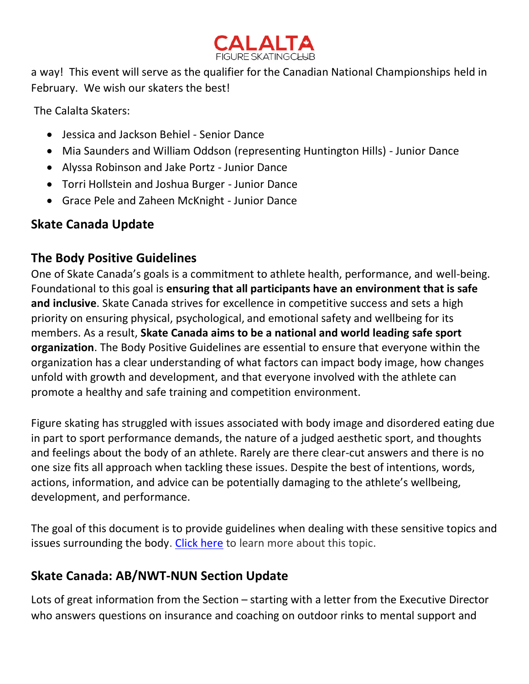

a way! This event will serve as the qualifier for the Canadian National Championships held in February. We wish our skaters the best!

The Calalta Skaters:

- Jessica and Jackson Behiel Senior Dance
- Mia Saunders and William Oddson (representing Huntington Hills) Junior Dance
- Alyssa Robinson and Jake Portz Junior Dance
- Torri Hollstein and Joshua Burger Junior Dance
- Grace Pele and Zaheen McKnight Junior Dance

# **Skate Canada Update**

### **The Body Positive Guidelines**

One of Skate Canada's goals is a commitment to athlete health, performance, and well-being. Foundational to this goal is **ensuring that all participants have an environment that is safe and inclusive**. Skate Canada strives for excellence in competitive success and sets a high priority on ensuring physical, psychological, and emotional safety and wellbeing for its members. As a result, **Skate Canada aims to be a national and world leading safe sport organization**. The Body Positive Guidelines are essential to ensure that everyone within the organization has a clear understanding of what factors can impact body image, how changes unfold with growth and development, and that everyone involved with the athlete can promote a healthy and safe training and competition environment.

Figure skating has struggled with issues associated with body image and disordered eating due in part to sport performance demands, the nature of a judged aesthetic sport, and thoughts and feelings about the body of an athlete. Rarely are there clear-cut answers and there is no one size fits all approach when tackling these issues. Despite the best of intentions, words, actions, information, and advice can be potentially damaging to the athlete's wellbeing, development, and performance.

The goal of this document is to provide guidelines when dealing with these sensitive topics and issues surrounding the body. [Click here](http://sc.informz.ca/z/cjUucD9taT0xMjQ0NDAxJnA9MSZ1PTkxMDQzNzczMyZsaT0yMTQyODg5Nw/index.html) to learn more about this topic.

# **Skate Canada: AB/NWT-NUN Section Update**

Lots of great information from the Section – starting with a letter from the Executive Director who answers questions on insurance and coaching on outdoor rinks to mental support and